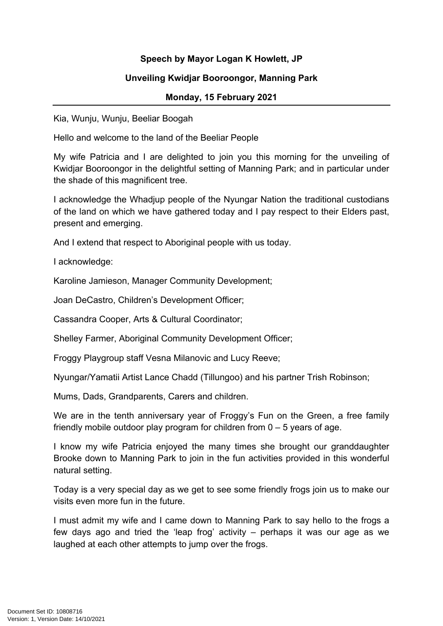## **Speech by Mayor Logan K Howlett, JP**

## **Unveiling Kwidjar Booroongor, Manning Park**

## **Monday, 15 February 2021**

Kia, Wunju, Wunju, Beeliar Boogah

Hello and welcome to the land of the Beeliar People

My wife Patricia and I are delighted to join you this morning for the unveiling of Kwidjar Booroongor in the delightful setting of Manning Park; and in particular under the shade of this magnificent tree.

I acknowledge the Whadjup people of the Nyungar Nation the traditional custodians of the land on which we have gathered today and I pay respect to their Elders past, present and emerging.

And I extend that respect to Aboriginal people with us today.

I acknowledge:

Karoline Jamieson, Manager Community Development;

Joan DeCastro, Children's Development Officer;

Cassandra Cooper, Arts & Cultural Coordinator;

Shelley Farmer, Aboriginal Community Development Officer;

Froggy Playgroup staff Vesna Milanovic and Lucy Reeve;

Nyungar/Yamatii Artist Lance Chadd (Tillungoo) and his partner Trish Robinson;

Mums, Dads, Grandparents, Carers and children.

We are in the tenth anniversary year of Froggy's Fun on the Green, a free family friendly mobile outdoor play program for children from  $0 - 5$  years of age.

I know my wife Patricia enjoyed the many times she brought our granddaughter Brooke down to Manning Park to join in the fun activities provided in this wonderful natural setting.

Today is a very special day as we get to see some friendly frogs join us to make our visits even more fun in the future.

I must admit my wife and I came down to Manning Park to say hello to the frogs a few days ago and tried the 'leap frog' activity – perhaps it was our age as we laughed at each other attempts to jump over the frogs.